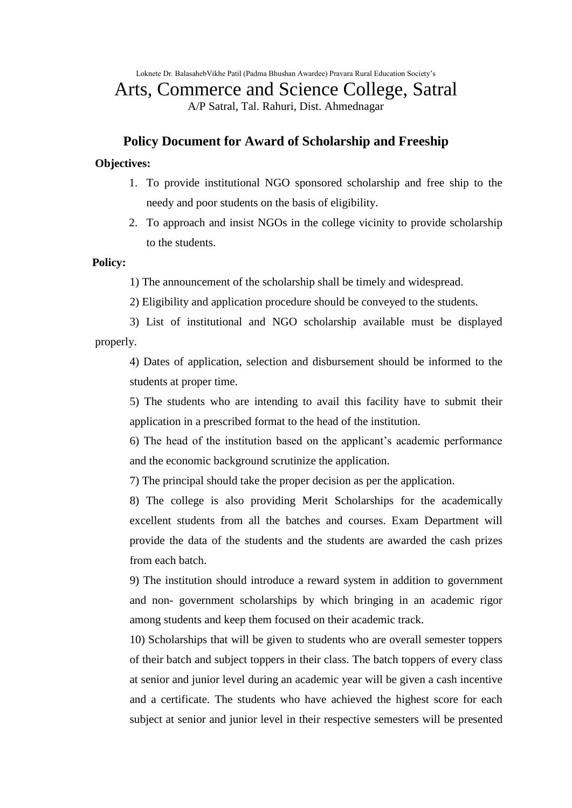Loknete Dr. BalasahebVikhe Patil (Padma Bhushan Awardee) Pravara Rural Education Society's

# Arts, Commerce and Science College, Satral

A/P Satral, Tal. Rahuri, Dist. Ahmednagar

## **Policy Document for Award of Scholarship and Freeship**

## **Objectives:**

- 1. To provide institutional NGO sponsored scholarship and free ship to the needy and poor students on the basis of eligibility.
- 2. To approach and insist NGOs in the college vicinity to provide scholarship to the students.

#### **Policy:**

- 1) The announcement of the scholarship shall be timely and widespread.
- 2) Eligibility and application procedure should be conveyed to the students.

3) List of institutional and NGO scholarship available must be displayed properly.

4) Dates of application, selection and disbursement should be informed to the students at proper time.

5) The students who are intending to avail this facility have to submit their application in a prescribed format to the head of the institution.

6) The head of the institution based on the applicant's academic performance and the economic background scrutinize the application.

7) The principal should take the proper decision as per the application.

8) The college is also providing Merit Scholarships for the academically excellent students from all the batches and courses. Exam Department will provide the data of the students and the students are awarded the cash prizes from each batch.

9) The institution should introduce a reward system in addition to government and non- government scholarships by which bringing in an academic rigor among students and keep them focused on their academic track.

10) Scholarships that will be given to students who are overall semester toppers of their batch and subject toppers in their class. The batch toppers of every class at senior and junior level during an academic year will be given a cash incentive and a certificate. The students who have achieved the highest score for each subject at senior and junior level in their respective semesters will be presented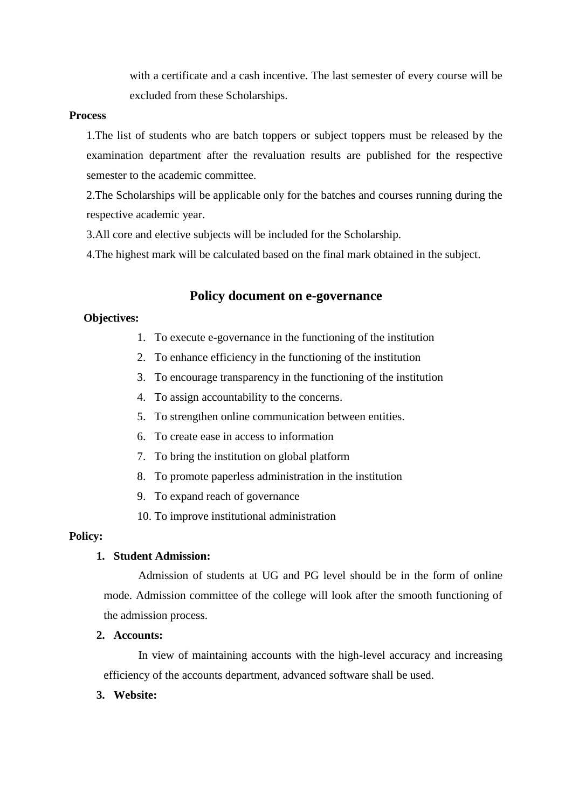with a certificate and a cash incentive. The last semester of every course will be excluded from these Scholarships.

#### **Process**

1.The list of students who are batch toppers or subject toppers must be released by the examination department after the revaluation results are published for the respective semester to the academic committee.

2.The Scholarships will be applicable only for the batches and courses running during the respective academic year.

3.All core and elective subjects will be included for the Scholarship.

4.The highest mark will be calculated based on the final mark obtained in the subject.

## **Policy document on e-governance**

#### **Objectives:**

- 1. To execute e-governance in the functioning of the institution
- 2. To enhance efficiency in the functioning of the institution
- 3. To encourage transparency in the functioning of the institution
- 4. To assign accountability to the concerns.
- 5. To strengthen online communication between entities.
- 6. To create ease in access to information
- 7. To bring the institution on global platform
- 8. To promote paperless administration in the institution
- 9. To expand reach of governance
- 10. To improve institutional administration

#### **Policy:**

## **1. Student Admission:**

Admission of students at UG and PG level should be in the form of online mode. Admission committee of the college will look after the smooth functioning of the admission process.

#### **2. Accounts:**

In view of maintaining accounts with the high-level accuracy and increasing efficiency of the accounts department, advanced software shall be used.

#### **3. Website:**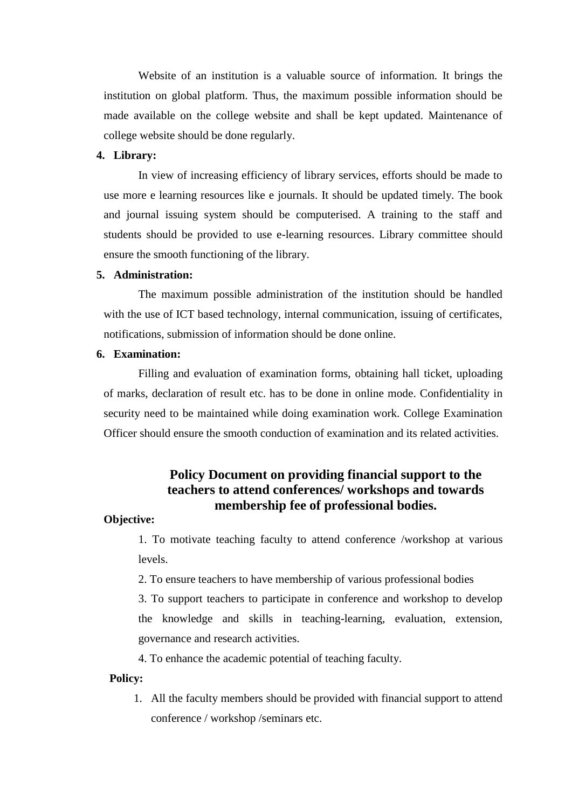Website of an institution is a valuable source of information. It brings the institution on global platform. Thus, the maximum possible information should be made available on the college website and shall be kept updated. Maintenance of college website should be done regularly.

#### **4. Library:**

In view of increasing efficiency of library services, efforts should be made to use more e learning resources like e journals. It should be updated timely. The book and journal issuing system should be computerised. A training to the staff and students should be provided to use e-learning resources. Library committee should ensure the smooth functioning of the library.

#### **5. Administration:**

The maximum possible administration of the institution should be handled with the use of ICT based technology, internal communication, issuing of certificates, notifications, submission of information should be done online.

## **6. Examination:**

Filling and evaluation of examination forms, obtaining hall ticket, uploading of marks, declaration of result etc. has to be done in online mode. Confidentiality in security need to be maintained while doing examination work. College Examination Officer should ensure the smooth conduction of examination and its related activities.

## **Policy Document on providing financial support to the teachers to attend conferences/ workshops and towards membership fee of professional bodies.**

#### **Objective:**

1. To motivate teaching faculty to attend conference /workshop at various levels.

2. To ensure teachers to have membership of various professional bodies

3. To support teachers to participate in conference and workshop to develop the knowledge and skills in teaching-learning, evaluation, extension, governance and research activities.

4. To enhance the academic potential of teaching faculty.

#### **Policy:**

1. All the faculty members should be provided with financial support to attend conference / workshop /seminars etc.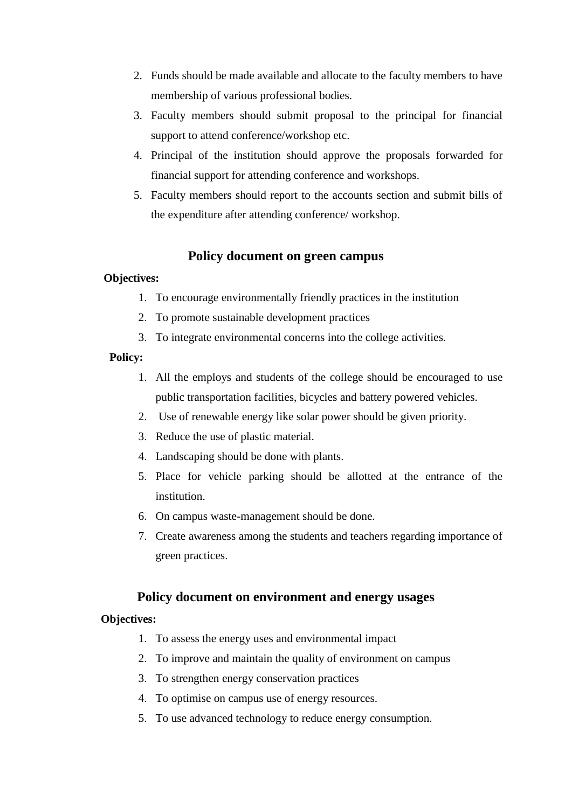- 2. Funds should be made available and allocate to the faculty members to have membership of various professional bodies.
- 3. Faculty members should submit proposal to the principal for financial support to attend conference/workshop etc.
- 4. Principal of the institution should approve the proposals forwarded for financial support for attending conference and workshops.
- 5. Faculty members should report to the accounts section and submit bills of the expenditure after attending conference/ workshop.

## **Policy document on green campus**

### **Objectives:**

- 1. To encourage environmentally friendly practices in the institution
- 2. To promote sustainable development practices
- 3. To integrate environmental concerns into the college activities.

## **Policy:**

- 1. All the employs and students of the college should be encouraged to use public transportation facilities, bicycles and battery powered vehicles.
- 2. Use of renewable energy like solar power should be given priority.
- 3. Reduce the use of plastic material.
- 4. Landscaping should be done with plants.
- 5. Place for vehicle parking should be allotted at the entrance of the institution.
- 6. On campus waste-management should be done.
- 7. Create awareness among the students and teachers regarding importance of green practices.

## **Policy document on environment and energy usages**

### **Objectives:**

- 1. To assess the energy uses and environmental impact
- 2. To improve and maintain the quality of environment on campus
- 3. To strengthen energy conservation practices
- 4. To optimise on campus use of energy resources.
- 5. To use advanced technology to reduce energy consumption.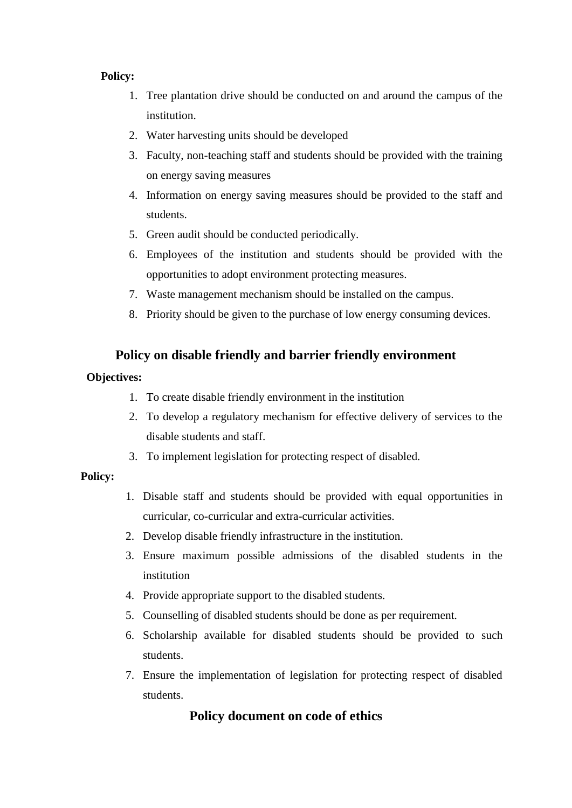### **Policy:**

- 1. Tree plantation drive should be conducted on and around the campus of the institution.
- 2. Water harvesting units should be developed
- 3. Faculty, non-teaching staff and students should be provided with the training on energy saving measures
- 4. Information on energy saving measures should be provided to the staff and students.
- 5. Green audit should be conducted periodically.
- 6. Employees of the institution and students should be provided with the opportunities to adopt environment protecting measures.
- 7. Waste management mechanism should be installed on the campus.
- 8. Priority should be given to the purchase of low energy consuming devices.

## **Policy on disable friendly and barrier friendly environment**

## **Objectives:**

- 1. To create disable friendly environment in the institution
- 2. To develop a regulatory mechanism for effective delivery of services to the disable students and staff.
- 3. To implement legislation for protecting respect of disabled.

## **Policy:**

- 1. Disable staff and students should be provided with equal opportunities in curricular, co-curricular and extra-curricular activities.
- 2. Develop disable friendly infrastructure in the institution.
- 3. Ensure maximum possible admissions of the disabled students in the institution
- 4. Provide appropriate support to the disabled students.
- 5. Counselling of disabled students should be done as per requirement.
- 6. Scholarship available for disabled students should be provided to such students.
- 7. Ensure the implementation of legislation for protecting respect of disabled students.

## **Policy document on code of ethics**